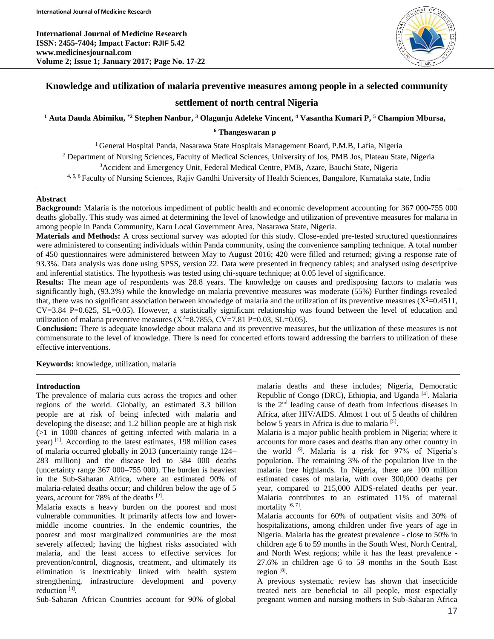**International Journal of Medicine Research ISSN: 2455-7404; Impact Factor: RJIF 5.42 www.medicinesjournal.com Volume 2; Issue 1; January 2017; Page No. 17-22**



# **Knowledge and utilization of malaria preventive measures among people in a selected community**

## **settlement of north central Nigeria**

**<sup>1</sup> Auta Dauda Abimiku, \*2 Stephen Nanbur, <sup>3</sup> Olagunju Adeleke Vincent, <sup>4</sup> Vasantha Kumari P, <sup>5</sup> Champion Mbursa,**

# **<sup>6</sup> Thangeswaran p**

<sup>1</sup> General Hospital Panda, Nasarawa State Hospitals Management Board, P.M.B, Lafia, Nigeria <sup>2</sup> Department of Nursing Sciences, Faculty of Medical Sciences, University of Jos, PMB Jos, Plateau State, Nigeria <sup>3</sup>Accident and Emergency Unit, Federal Medical Centre, PMB, Azare, Bauchi State, Nigeria 4, 5, <sup>6</sup> Faculty of Nursing Sciences, Rajiv Gandhi University of Health Sciences, Bangalore, Karnataka state, India

## **Abstract**

**Background:** Malaria is the notorious impediment of public health and economic development accounting for 367 000-755 000 deaths globally. This study was aimed at determining the level of knowledge and utilization of preventive measures for malaria in among people in Panda Community, Karu Local Government Area, Nasarawa State, Nigeria.

**Materials and Methods:** A cross sectional survey was adopted for this study. Close-ended pre-tested structured questionnaires were administered to consenting individuals within Panda community, using the convenience sampling technique. A total number of 450 questionnaires were administered between May to August 2016; 420 were filled and returned; giving a response rate of 93.3%. Data analysis was done using SPSS, version 22. Data were presented in frequency tables; and analysed using descriptive and inferential statistics. The hypothesis was tested using chi-square technique; at 0.05 level of significance.

**Results:** The mean age of respondents was 28.8 years. The knowledge on causes and predisposing factors to malaria was significantly high, (93.3%) while the knowledge on malaria preventive measures was moderate (55%) Further findings revealed that, there was no significant association between knowledge of malaria and the utilization of its preventive measures  $(X^2=0.4511)$ , CV=3.84 P=0.625, SL=0.05). However, a statistically significant relationship was found between the level of education and utilization of malaria preventive measures  $(X^2=8.7855, CV=7.81 P=0.03, SL=0.05)$ .

**Conclusion:** There is adequate knowledge about malaria and its preventive measures, but the utilization of these measures is not commensurate to the level of knowledge. There is need for concerted efforts toward addressing the barriers to utilization of these effective interventions.

**Keywords:** knowledge, utilization, malaria

### **Introduction**

The prevalence of malaria cuts across the tropics and other regions of the world. Globally, an estimated 3.3 billion people are at risk of being infected with malaria and developing the disease; and 1.2 billion people are at high risk (>1 in 1000 chances of getting infected with malaria in a year) [1]. According to the latest estimates, 198 million cases of malaria occurred globally in 2013 (uncertainty range 124– 283 million) and the disease led to 584 000 deaths (uncertainty range 367 000–755 000). The burden is heaviest in the Sub-Saharan Africa, where an estimated 90% of malaria-related deaths occur; and children below the age of 5 years, account for 78% of the deaths [2].

Malaria exacts a heavy burden on the poorest and most vulnerable communities. It primarily affects low and lowermiddle income countries. In the endemic countries, the poorest and most marginalized communities are the most severely affected; having the highest risks associated with malaria, and the least access to effective services for prevention/control, diagnosis, treatment, and ultimately its elimination is inextricably linked with health system strengthening, infrastructure development and poverty reduction<sup>[3]</sup>.

Sub-Saharan African Countries account for 90% of global

malaria deaths and these includes; Nigeria, Democratic Republic of Congo (DRC), Ethiopia, and Uganda [4]. Malaria is the 2nd leading cause of death from infectious diseases in Africa, after HIV/AIDS. Almost 1 out of 5 deaths of children below 5 years in Africa is due to malaria<sup>[5]</sup>.

Malaria is a major public health problem in Nigeria; where it accounts for more cases and deaths than any other country in the world <sup>[6]</sup>. Malaria is a risk for 97% of Nigeria's population. The remaining 3% of the population live in the malaria free highlands. In Nigeria, there are 100 million estimated cases of malaria, with over 300,000 deaths per year, compared to 215,000 AIDS-related deaths per year. Malaria contributes to an estimated 11% of maternal mortality<sup>[6,7]</sup>.

Malaria accounts for 60% of outpatient visits and 30% of hospitalizations, among children under five years of age in Nigeria. Malaria has the greatest prevalence - close to 50% in children age 6 to 59 months in the South West, North Central, and North West regions; while it has the least prevalence - 27.6% in children age 6 to 59 months in the South East region<sup>[8]</sup>.

A previous systematic review has shown that insecticide treated nets are beneficial to all people, most especially pregnant women and nursing mothers in Sub-Saharan Africa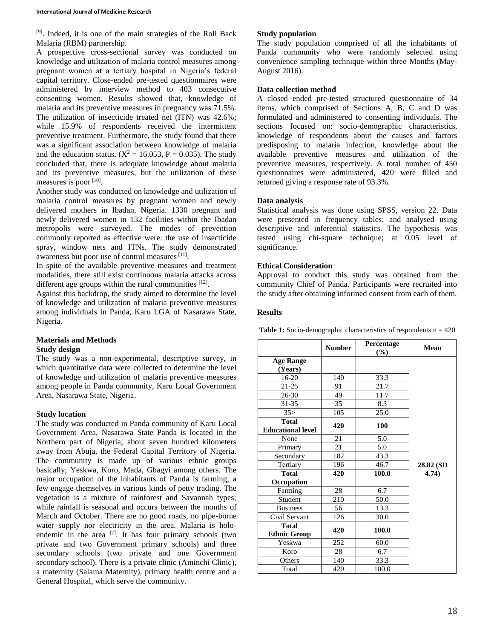[9]. Indeed, it is one of the main strategies of the Roll Back Malaria (RBM) partnership.

A prospective cross-sectional survey was conducted on knowledge and utilization of malaria control measures among pregnant women at a tertiary hospital in Nigeria's federal capital territory. Close-ended pre-tested questionnaires were administered by interview method to 403 consecutive consenting women. Results showed that, knowledge of malaria and its preventive measures in pregnancy was 71.5%. The utilization of insecticide treated net (ITN) was 42.6%; while 15.9% of respondents received the intermittent preventive treatment. Furthermore, the study found that there was a significant association between knowledge of malaria and the education status. ( $X^2 = 16.053$ , P = 0.035). The study concluded that, there is adequate knowledge about malaria and its preventive measures, but the utilization of these measures is poor [10].

Another study was conducted on knowledge and utilization of malaria control measures by pregnant women and newly delivered mothers in Ibadan, Nigeria. 1330 pregnant and newly delivered women in 132 facilities within the Ibadan metropolis were surveyed. The modes of prevention commonly reported as effective were: the use of insecticide spray, window nets and ITNs. The study demonstrated awareness but poor use of control measures<sup>[11]</sup>.

In spite of the available preventive measures and treatment modalities, there still exist continuous malaria attacks across different age groups within the rural communities [12].

Against this backdrop, the study aimed to determine the level of knowledge and utilization of malaria preventive measures among individuals in Panda, Karu LGA of Nasarawa State, Nigeria.

## **Materials and Methods Study design**

The study was a non-experimental, descriptive survey, in which quantitative data were collected to determine the level of knowledge and utilization of malaria preventive measures among people in Panda community, Karu Local Government Area, Nasarawa State, Nigeria.

## **Study location**

The study was conducted in Panda community of Karu Local Government Area, Nasarawa State Panda is located in the Northern part of Nigeria; about seven hundred kilometers away from Abuja, the Federal Capital Territory of Nigeria. The community is made up of various ethnic groups basically; Yeskwa, Koro, Mada, Gbagyi among others. The major occupation of the inhabitants of Panda is farming; a few engage themselves in various kinds of petty trading. The vegetation is a mixture of rainforest and Savannah types; while rainfall is seasonal and occurs between the months of March and October. There are no good roads, no pipe-borne water supply nor electricity in the area. Malaria is holoendemic in the area  $^{[7]}$ . It has four primary schools (two private and two Government primary schools) and three secondary schools (two private and one Government secondary school). There is a private clinic (Aminchi Clinic), a maternity (Salama Maternity), primary health centre and a General Hospital, which serve the community.

## **Study population**

The study population comprised of all the inhabitants of Panda community who were randomly selected using convenience sampling technique within three Months (May-August 2016).

## **Data collection method**

A closed ended pre-tested structured questionnaire of 34 items, which comprised of Sections A, B, C and D was formulated and administered to consenting individuals. The sections focused on: socio-demographic characteristics, knowledge of respondents about the causes and factors predisposing to malaria infection, knowledge about the available preventive measures and utilization of the preventive measures, respectively. A total number of 450 questionnaires were administered, 420 were filled and returned giving a response rate of 93.3%.

## **Data analysis**

Statistical analysis was done using SPSS, version 22. Data were presented in frequency tables; and analysed using descriptive and inferential statistics. The hypothesis was tested using chi-square technique; at 0.05 level of significance.

## **Ethical Consideration**

Approval to conduct this study was obtained from the community Chief of Panda. Participants were recruited into the study after obtaining informed consent from each of them.

## **Results**

|                                          | <b>Number</b> | Percentage<br>(%) | Mean      |
|------------------------------------------|---------------|-------------------|-----------|
| <b>Age Range</b><br>(Years)              |               |                   |           |
| 16-20                                    | 140           | 33.3              |           |
| $21 - 25$                                | 91            | 21.7              |           |
| $26 - 30$                                | 49            | 11.7              |           |
| 31-35                                    | 35            | 8.3               |           |
| 35                                       | 105           | 25.0              |           |
| <b>Total</b><br><b>Educational level</b> | 420           | 100               |           |
| None                                     | 21            | 5.0               |           |
| Primary                                  | 21            | 5.0               |           |
| Secondary                                | 182           | 43.3              |           |
| Tertiary                                 | 196           | 46.7              | 28.82 (SD |
| <b>Total</b>                             | 420           | 100.0             | (4.74)    |
| Occupation                               |               |                   |           |
| Farming                                  | 28            | 6.7               |           |
| Student                                  | 210           | 50.0              |           |
| <b>Business</b>                          | 56            | 13.3              |           |
| Civil Servant                            | 126           | 30.0              |           |
| <b>Total</b><br><b>Ethnic Group</b>      | 420           | 100.0             |           |
| Yeskwa                                   | 252           | 60.0              |           |
| Koro                                     | 28            | 6.7               |           |
| Others                                   | 140           | 33.3              |           |
| Total                                    | 420           | 100.0             |           |

**Table 1:** Socio-demographic characteristics of respondents n = 420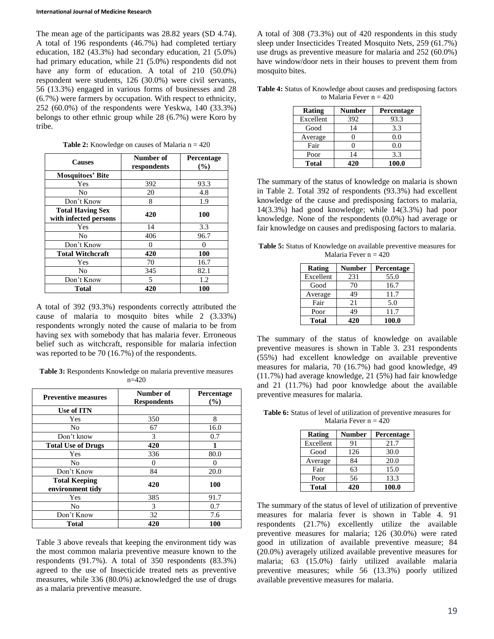The mean age of the participants was 28.82 years (SD 4.74). A total of 196 respondents (46.7%) had completed tertiary education, 182 (43.3%) had secondary education, 21 (5.0%) had primary education, while 21 (5.0%) respondents did not have any form of education. A total of 210 (50.0%) respondent were students, 126 (30.0%) were civil servants, 56 (13.3%) engaged in various forms of businesses and 28 (6.7%) were farmers by occupation. With respect to ethnicity, 252 (60.0%) of the respondents were Yeskwa, 140 (33.3%) belongs to other ethnic group while 28 (6.7%) were Koro by tribe.

| <b>Causes</b>           | Number of<br>respondents | Percentage<br>(%) |  |
|-------------------------|--------------------------|-------------------|--|
| <b>Mosquitoes' Bite</b> |                          |                   |  |
| Yes                     | 392                      | 93.3              |  |
| No                      | 20                       | 4.8               |  |
| Don't Know              | 8                        | 1.9               |  |
| <b>Total Having Sex</b> | 420                      | 100               |  |
| with infected persons   |                          |                   |  |
| Yes                     | 14                       | 3.3               |  |
| No                      | 406                      | 96.7              |  |
| Don't Know              | 0                        | 0                 |  |
| <b>Total Witchcraft</b> | 420                      | 100               |  |
| Yes                     | 70                       | 16.7              |  |
| No                      | 345                      | 82.1              |  |
| Don't Know              | 5                        | 1.2               |  |
| Total                   | 420                      | 100               |  |

**Table 2:** Knowledge on causes of Malaria n = 420

A total of 392 (93.3%) respondents correctly attributed the cause of malaria to mosquito bites while 2 (3.33%) respondents wrongly noted the cause of malaria to be from having sex with somebody that has malaria fever. Erroneous belief such as witchcraft, responsible for malaria infection was reported to be 70 (16.7%) of the respondents.

**Table 3:** Respondents Knowledge on malaria preventive measures n=420

| <b>Preventive measures</b>               | Number of<br><b>Respondents</b> | Percentage<br>(%) |
|------------------------------------------|---------------------------------|-------------------|
| Use of ITN                               |                                 |                   |
| Yes                                      | 350                             | 8                 |
| No                                       | 67                              | 16.0              |
| Don't know                               | 3                               | 0.7               |
| <b>Total Use of Drugs</b>                | 420                             |                   |
| Yes                                      | 336                             | 80.0              |
| No                                       | 0                               | 0                 |
| Don't Know                               | 84                              | 20.0              |
| <b>Total Keeping</b><br>environment tidy | 420                             | <b>100</b>        |
| Yes                                      | 385                             | 91.7              |
| No                                       | 3                               | 0.7               |
| Don't Know                               | 32                              | 7.6               |
| <b>Total</b>                             | 420                             | 100               |

Table 3 above reveals that keeping the environment tidy was the most common malaria preventive measure known to the respondents (91.7%). A total of 350 respondents (83.3%) agreed to the use of Insecticide treated nets as preventive measures, while 336 (80.0%) acknowledged the use of drugs as a malaria preventive measure.

A total of 308 (73.3%) out of 420 respondents in this study sleep under Insecticides Treated Mosquito Nets, 259 (61.7%) use drugs as preventive measure for malaria and 252 (60.0%) have window/door nets in their houses to prevent them from mosquito bites.

| <b>Table 4:</b> Status of Knowledge about causes and predisposing factors |
|---------------------------------------------------------------------------|
| to Malaria Fever $n = 420$                                                |

| <b>Rating</b> | <b>Number</b> | Percentage |
|---------------|---------------|------------|
| Excellent     | 392           | 93.3       |
| Good          | 14            | 3.3        |
| Average       | 0             | 0.0        |
| Fair          |               | 0.0        |
| Poor          | 14            | 3.3        |
| <b>Total</b>  | 420           | 100.0      |

The summary of the status of knowledge on malaria is shown in Table 2. Total 392 of respondents (93.3%) had excellent knowledge of the cause and predisposing factors to malaria, 14(3.3%) had good knowledge; while 14(3.3%) had poor knowledge. None of the respondents (0.0%) had average or fair knowledge on causes and predisposing factors to malaria.

**Table 5:** Status of Knowledge on available preventive measures for Malaria Fever  $n = 420$ 

| Rating    | Number | Percentage |
|-----------|--------|------------|
| Excellent | 231    | 55.0       |
| Good      | 70     | 16.7       |
| Average   | 49     | 11.7       |
| Fair      | 21     | 5.0        |
| Poor      | 49     | 11.7       |
| Total     | 420    | 100.0      |

The summary of the status of knowledge on available preventive measures is shown in Table 3. 231 respondents (55%) had excellent knowledge on available preventive measures for malaria, 70 (16.7%) had good knowledge, 49 (11.7%) had average knowledge, 21 (5%) had fair knowledge and 21 (11.7%) had poor knowledge about the available preventive measures for malaria.

**Table 6:** Status of level of utilization of preventive measures for Malaria Fever  $n = 420$ 

| <b>Rating</b> | <b>Number</b> | Percentage |
|---------------|---------------|------------|
| Excellent     | 91            | 21.7       |
| Good          | 126           | 30.0       |
| Average       | 84            | 20.0       |
| Fair          | 63            | 15.0       |
| Poor          | 56            | 13.3       |
| Total         | 420           | 100.0      |

The summary of the status of level of utilization of preventive measures for malaria fever is shown in Table 4. 91 respondents (21.7%) excellently utilize the available preventive measures for malaria; 126 (30.0%) were rated good in utilization of available preventive measure; 84 (20.0%) averagely utilized available preventive measures for malaria; 63 (15.0%) fairly utilized available malaria preventive measures; while 56 (13.3%) poorly utilized available preventive measures for malaria.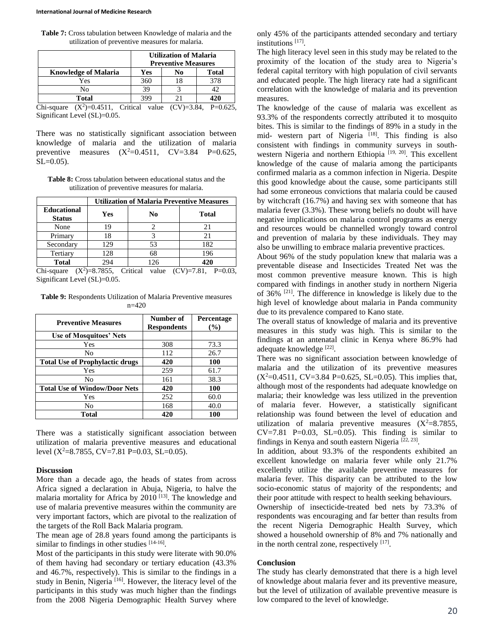#### **International Journal of Medicine Research**

**Table 7:** Cross tabulation between Knowledge of malaria and the utilization of preventive measures for malaria.

|                                 | <b>Utilization of Malaria</b><br><b>Preventive Measures</b> |               |         |
|---------------------------------|-------------------------------------------------------------|---------------|---------|
| <b>Knowledge of Malaria</b>     | Yes                                                         | No            | Total   |
| Yes                             | 360                                                         | 18            | 378     |
| No                              | 39                                                          |               | 12      |
| Total                           | 399                                                         |               | 420     |
| $V^{2}$ ) $-0.4511$<br>$\alpha$ | $C_{\rm trical}$<br>$v_{0}$ luo                             | $(CN)$ - 2.84 | D-0.625 |

Chi-square  $(X^2) = 0.4511$ , Critical value  $(CV) = 3.84$ , P=0.625, Significant Level (SL)=0.05.

There was no statistically significant association between knowledge of malaria and the utilization of malaria preventive measures  $(X^2=0.4511, \quad CV=3.84$  P=0.625,  $SL=0.05$ ).

**Table 8:** Cross tabulation between educational status and the utilization of preventive measures for malaria.

|                                     | <b>Utilization of Malaria Preventive Measures</b> |                     |               |  |
|-------------------------------------|---------------------------------------------------|---------------------|---------------|--|
| <b>Educational</b><br><b>Status</b> | Yes                                               | No                  | <b>Total</b>  |  |
| None                                | 19                                                |                     | 21            |  |
| Primary                             | 18                                                |                     | 21            |  |
| Secondary                           | 129                                               | 53                  | 182           |  |
| Tertiary                            | 128                                               | 68                  | 196           |  |
| <b>Total</b>                        | 294                                               | 126                 | 420           |  |
| $Chi$ -causre                       | $(Y^2)-87855$                                     | Critical<br>مبراوير | $(CV) - 7.81$ |  |

Chi-square  $(X^2) = 8.7855$ , Critical value  $(CV) = 7.81$ , P=0.03, Significant Level (SL)=0.05.

**Table 9:** Respondents Utilization of Malaria Preventive measures n=420

| <b>Preventive Measures</b>             | Number of<br><b>Respondents</b> | Percentage<br>(%) |
|----------------------------------------|---------------------------------|-------------------|
| <b>Use of Mosquitoes' Nets</b>         |                                 |                   |
| Yes                                    | 308                             | 73.3              |
| No                                     | 112                             | 26.7              |
| <b>Total Use of Prophylactic drugs</b> | 420                             | 100               |
| Yes                                    | 259                             | 61.7              |
| No                                     | 161                             | 38.3              |
| <b>Total Use of Window/Door Nets</b>   | 420                             | 100               |
| Yes                                    | 252                             | 60.0              |
| No                                     | 168                             | 40.0              |
| <b>Total</b>                           | 420                             | 100               |

There was a statistically significant association between utilization of malaria preventive measures and educational level ( $X^2=8.7855$ , CV=7.81 P=0.03, SL=0.05).

#### **Discussion**

More than a decade ago, the heads of states from across Africa signed a declaration in Abuja, Nigeria, to halve the malaria mortality for Africa by 2010<sup>[13]</sup>. The knowledge and use of malaria preventive measures within the community are very important factors, which are pivotal to the realization of the targets of the Roll Back Malaria program.

The mean age of 28.8 years found among the participants is similar to findings in other studies  $[14-16]$ .

Most of the participants in this study were literate with 90.0% of them having had secondary or tertiary education (43.3% and 46.7%, respectively). This is similar to the findings in a study in Benin, Nigeria<sup>[16]</sup>. However, the literacy level of the participants in this study was much higher than the findings from the 2008 Nigeria Demographic Health Survey where

only 45% of the participants attended secondary and tertiary institutions [17] .

The high literacy level seen in this study may be related to the proximity of the location of the study area to Nigeria's federal capital territory with high population of civil servants and educated people. The high literacy rate had a significant correlation with the knowledge of malaria and its prevention measures.

The knowledge of the cause of malaria was excellent as 93.3% of the respondents correctly attributed it to mosquito bites. This is similar to the findings of 89% in a study in the mid- western part of Nigeria [18]. This finding is also consistent with findings in community surveys in southwestern Nigeria and northern Ethiopia<sup>[19, 20]</sup>. This excellent knowledge of the cause of malaria among the participants confirmed malaria as a common infection in Nigeria. Despite this good knowledge about the cause, some participants still had some erroneous convictions that malaria could be caused by witchcraft (16.7%) and having sex with someone that has malaria fever (3.3%). These wrong beliefs no doubt will have negative implications on malaria control programs as energy and resources would be channelled wrongly toward control and prevention of malaria by these individuals. They may also be unwilling to embrace malaria preventive practices.

About 96% of the study population knew that malaria was a preventable disease and Insecticides Treated Net was the most common preventive measure known. This is high compared with findings in another study in northern Nigeria of  $36\%$  <sup>[21]</sup>. The difference in knowledge is likely due to the high level of knowledge about malaria in Panda community due to its prevalence compared to Kano state.

The overall status of knowledge of malaria and its preventive measures in this study was high. This is similar to the findings at an antenatal clinic in Kenya where 86.9% had adequate knowledge [22].

There was no significant association between knowledge of malaria and the utilization of its preventive measures  $(X^2=0.4511, CV=3.84 P=0.625, SL=0.05)$ . This implies that, although most of the respondents had adequate knowledge on malaria; their knowledge was less utilized in the prevention of malaria fever. However, a statistically significant relationship was found between the level of education and utilization of malaria preventive measures  $(X^2=8.7855,$  $CV=7.81$  P=0.03, SL=0.05). This finding is similar to findings in Kenya and south eastern Nigeria<sup>[22, 23]</sup>.

In addition, about 93.3% of the respondents exhibited an excellent knowledge on malaria fever while only 21.7% excellently utilize the available preventive measures for malaria fever. This disparity can be attributed to the low socio-economic status of majority of the respondents; and their poor attitude with respect to health seeking behaviours.

Ownership of insecticide-treated bed nets by 73.3% of respondents was encouraging and far better than results from the recent Nigeria Demographic Health Survey, which showed a household ownership of 8% and 7% nationally and in the north central zone, respectively  $[17]$ .

#### **Conclusion**

The study has clearly demonstrated that there is a high level of knowledge about malaria fever and its preventive measure, but the level of utilization of available preventive measure is low compared to the level of knowledge.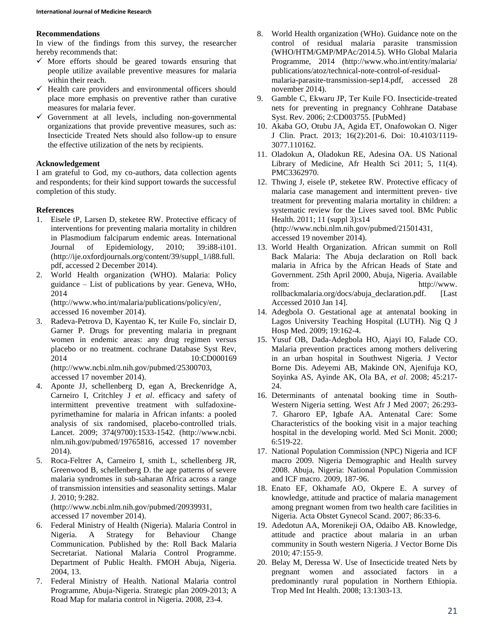#### **Recommendations**

In view of the findings from this survey, the researcher hereby recommends that:

- $\checkmark$  More efforts should be geared towards ensuring that people utilize available preventive measures for malaria within their reach.
- $\checkmark$  Health care providers and environmental officers should place more emphasis on preventive rather than curative measures for malaria fever.
- $\checkmark$  Government at all levels, including non-governmental organizations that provide preventive measures, such as: Insecticide Treated Nets should also follow-up to ensure the effective utilization of the nets by recipients.

## **Acknowledgement**

I am grateful to God, my co-authors, data collection agents and respondents; for their kind support towards the successful completion of this study.

## **References**

- 1. Eisele tP, Larsen D, steketee RW. Protective efficacy of interventions for preventing malaria mortality in children in Plasmodium falciparum endemic areas. International Journal of Epidemiology, 2010; 39:i88-i101. (http://ije.oxfordjournals.org/content/39/suppl\_1/i88.full. pdf, accessed 2 December 2014).
- 2. World Health organization (WHO). Malaria: Policy guidance – List of publications by year. Geneva, WHo, 2014

(http://www.who.int/malaria/publications/policy/en/, accessed 16 november 2014).

3. Radeva-Petrova D, Kayentao K, ter Kuile Fo, sinclair D, Garner P. Drugs for preventing malaria in pregnant women in endemic areas: any drug regimen versus placebo or no treatment. cochrane Database Syst Rev, 2014 10:CD000169 (http://www.ncbi.nlm.nih.gov/pubmed/25300703,

accessed 17 november 2014).

- 4. Aponte JJ, schellenberg D, egan A, Breckenridge A, Carneiro I, Critchley J *et al*. efficacy and safety of intermittent preventive treatment with sulfadoxinepyrimethamine for malaria in African infants: a pooled analysis of six randomised, placebo-controlled trials. Lancet. 2009; 374(9700):1533-1542. (http://www.ncbi. nlm.nih.gov/pubmed/19765816, accessed 17 november 2014).
- 5. Roca-Feltrer A, Carneiro I, smith L, schellenberg JR, Greenwood B, schellenberg D. the age patterns of severe malaria syndromes in sub-saharan Africa across a range of transmission intensities and seasonality settings. Malar J. 2010; 9:282. (http://www.ncbi.nlm.nih.gov/pubmed/20939931,

accessed 17 november 2014).

- 6. Federal Ministry of Health (Nigeria). Malaria Control in Nigeria. A Strategy for Behaviour Change Communication. Published by the: Roll Back Malaria Secretariat. National Malaria Control Programme. Department of Public Health. FMOH Abuja, Nigeria. 2004, 13.
- 7. Federal Ministry of Health. National Malaria control Programme, Abuja-Nigeria. Strategic plan 2009-2013; A Road Map for malaria control in Nigeria. 2008, 23-4.
- 8. World Health organization (WHo). Guidance note on the control of residual malaria parasite transmission (WHO/HTM/GMP/MPAc/2014.5). WHo Global Malaria Programme, 2014 (http://www.who.int/entity/malaria/ publications/atoz/technical-note-control-of-residualmalaria-parasite-transmission-sep14.pdf, accessed 28 november 2014).
- 9. Gamble C, Ekwaru JP, Ter Kuile FO. Insecticide-treated nets for preventing in pregnancy Cohhrane Database Syst. Rev. 2006; 2:CD003755. [PubMed}
- 10. Akaba GO, Otubu JA, Agida ET, Onafowokan O. Niger J Clin. Pract. 2013; 16(2):201-6. Doi: 10.4103/1119- 3077.110162.
- 11. Oladokun A, Oladokun RE, Adesina OA. US National Library of Medicine, Afr Health Sci 2011; 5, 11(4). PMC3362970.
- 12. Thwing J, eisele tP, steketee RW. Protective efficacy of malaria case management and intermittent preven- tive treatment for preventing malaria mortality in children: a systematic review for the Lives saved tool. BMc Public Health. 2011; 11 (suppl 3):s14 (http://www.ncbi.nlm.nih.gov/pubmed/21501431, accessed 19 november 2014).
- 13. World Health Organization. African summit on Roll Back Malaria: The Abuja declaration on Roll back malaria in Africa by the African Heads of State and Government. 25th April 2000, Abuja, Nigeria. Available from: http://www. rollbackmalaria.org/docs/abuja\_declaration.pdf. [Last Accessed 2010 Jan 14].
- 14. Adegbola O. Gestational age at antenatal booking in Lagos University Teaching Hospital (LUTH). Nig Q J Hosp Med. 2009; 19:162-4.
- 15. Yusuf OB, Dada-Adegbola HO, Ajayi IO, Falade CO. Malaria prevention practices among mothers delivering in an urban hospital in Southwest Nigeria. J Vector Borne Dis. Adeyemi AB, Makinde ON, Ajenifuja KO, Soyinka AS, Ayinde AK, Ola BA, *et al*. 2008; 45:217- 24.
- 16. Determinants of antenatal booking time in South-Western Nigeria setting. West Afr J Med 2007; 26:293- 7. Gharoro EP, Igbafe AA. Antenatal Care: Some Characteristics of the booking visit in a major teaching hospital in the developing world. Med Sci Monit. 2000; 6:519-22.
- 17. National Population Commission (NPC) Nigeria and ICF macro 2009. Nigeria Demographic and Health survey 2008. Abuja, Nigeria: National Population Commission and ICF macro. 2009, 187-96.
- 18. Enato EF, Okhamafe AO, Okpere E. A survey of knowledge, attitude and practice of malaria management among pregnant women from two health care facilities in Nigeria. Acta Obstet Gynecol Scand. 2007; 86:33-6.
- 19. Adedotun AA, Morenikeji OA, Odaibo AB. Knowledge, attitude and practice about malaria in an urban community in South western Nigeria. J Vector Borne Dis 2010; 47:155-9.
- 20. Belay M, Deressa W. Use of Insecticide treated Nets by pregnant women and associated factors in a predominantly rural population in Northern Ethiopia. Trop Med Int Health. 2008; 13:1303-13.